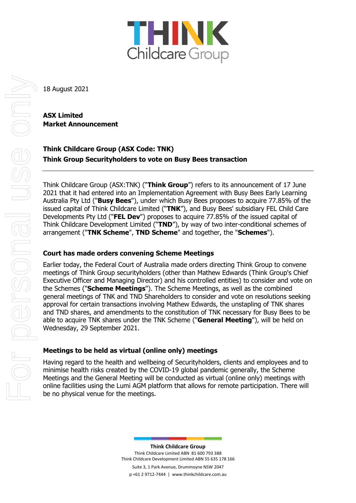

18 August 2021

# **ASX Limited Market Announcement**

**Think Childcare Group (ASX Code: TNK) Think Group Securityholders to vote on Busy Bees transaction** 

Think Childcare Group (ASX:TNK) ("**Think Group**") refers to its announcement of 17 June 2021 that it had entered into an Implementation Agreement with Busy Bees Early Learning Australia Pty Ltd ("**Busy Bees**"), under which Busy Bees proposes to acquire 77.85% of the issued capital of Think Childcare Limited ("**TNK**"), and Busy Bees' subsidiary FEL Child Care Developments Pty Ltd ("**FEL Dev**") proposes to acquire 77.85% of the issued capital of Think Childcare Development Limited ("**TND**"), by way of two inter-conditional schemes of arrangement ("**TNK Scheme**", **TND Scheme**" and together, the "**Schemes**").

## **Court has made orders convening Scheme Meetings**

Earlier today, the Federal Court of Australia made orders directing Think Group to convene meetings of Think Group securityholders (other than Mathew Edwards (Think Group's Chief Executive Officer and Managing Director) and his controlled entities) to consider and vote on the Schemes ("**Scheme Meetings**"). The Scheme Meetings, as well as the combined general meetings of TNK and TND Shareholders to consider and vote on resolutions seeking approval for certain transactions involving Mathew Edwards, the unstapling of TNK shares and TND shares, and amendments to the constitution of TNK necessary for Busy Bees to be able to acquire TNK shares under the TNK Scheme ("**General Meeting**"), will be held on Wednesday, 29 September 2021.

## **Meetings to be held as virtual (online only) meetings**

Having regard to the health and wellbeing of Securityholders, clients and employees and to minimise health risks created by the COVID-19 global pandemic generally, the Scheme Meetings and the General Meeting will be conducted as virtual (online only) meetings with online facilities using the Lumi AGM platform that allows for remote participation. There will be no physical venue for the meetings.

> **Think Childcare Group** Think Childcare Limited ABN 81 600 793 388 Think Childcare Development Limited ABN 55 635 178 166

Suite 3, 1 Park Avenue, Drummoyne NSW 2047 p +61 2 9712-7444 | www.thinkchildcare.com.au